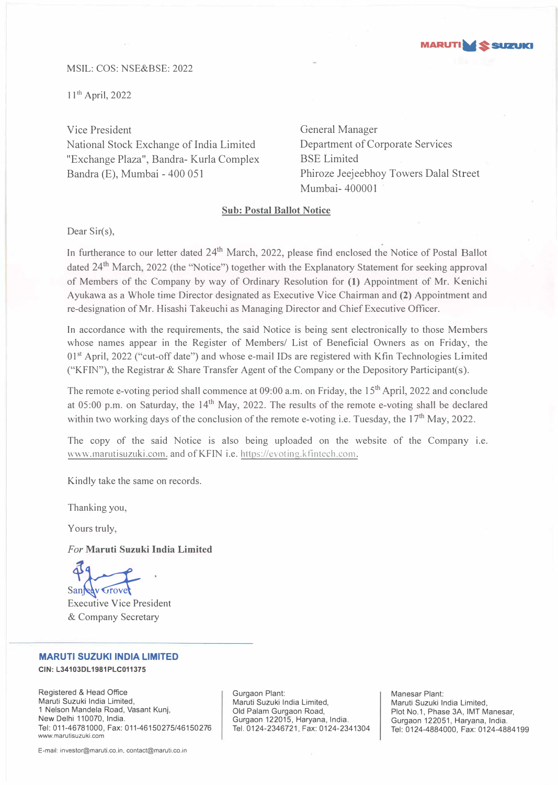

# MSIL: COS: NSE&BSE: 2022

11<sup>th</sup> April, 2022

Vice President General Manager National Stock Exchange of India Limited "Exchange Plaza", Bandra- Kurla Complex Bandra (E), Mumbai - 400 051

Department of Corporate Services BSE Limited Phiroze Jeejeebhoy Towers Dalal Street Mumbai- 400001

# **Sub: Postal Ballot Notice**

Dear Sir(s).

In furtherance to our letter dated 24<sup>th</sup> March, 2022, please find enclosed the Notice of Postal Ballot dated 24<sup>th</sup> March, 2022 (the "Notice") together with the Explanatory Statement for seeking approval of Members of the Company by way of Ordinary Resolution for **(1)** Appointment of Mr. Kenichi Ayukawa as a Whole time Director designated as Executive Vice Chairman and **(2)** Appointment and re-designation of Mr. Hisashi Takeuchi as Managing Director and Chief Executive Officer.

In accordance with the requirements, the said Notice is being sent electronically to those Members whose names appear in the Register of Members/ List of Beneficial Owners as on Friday, the  $01<sup>st</sup>$  April, 2022 ("cut-off date") and whose e-mail IDs are registered with Kfin Technologies Limited ("KFIN"), the Registrar & Share Transfer Agent of the Company or the Depository Participant(s).

The remote e-voting period shall commence at 09:00 a.m. on Friday, the 15<sup>th</sup> April, 2022 and conclude at 05:00 p.m. on Saturday, the 14<sup>th</sup> May, 2022. The results of the remote e-voting shall be declared within two working days of the conclusion of the remote e-voting i.e. Tuesday, the 17<sup>th</sup> May, 2022.

The copy of the said Notice is also being uploaded on the website of the Company i.e. www.marutisuzuki.com. and of KFIN i.e. https://evoting.kfintech.com.

Kindly take the same on records.

Thanking you,

Yours truly,

*For* **Maruti Suzuki India Limited** 

Santedy Grove

Executive Vice President & Company Secretary

# **MARUTI SUZUKI INDIA LIMITED**

**CIN: L34103DL1981PLC011375** 

Registered & Head Office Maruti Suzuki India Limited, 1 Nelson Mandela Road, Vasant Kunj, New Delhi 110070, India. Tel: 011-46781000, Fax: 011-46150275/46150276 www.marutisuzuki.com

Gurgaon Plant: Maruti Suzuki India Limited, Old Palam Gurgaon Road, Gurgaon 122015, Haryana, India. Tel. 0124-2346721, Fax: 0124-2341304 Manesar Plant: Maruti Suzuki India Limited, Plot No.1, Phase 3A, IMT Manesar, Gurgaon 122051, Haryana, India. Tel: 0124-4884000, Fax: 0124-4884199

E-mail: investor@maruti.co.in, contact@maruti.co.in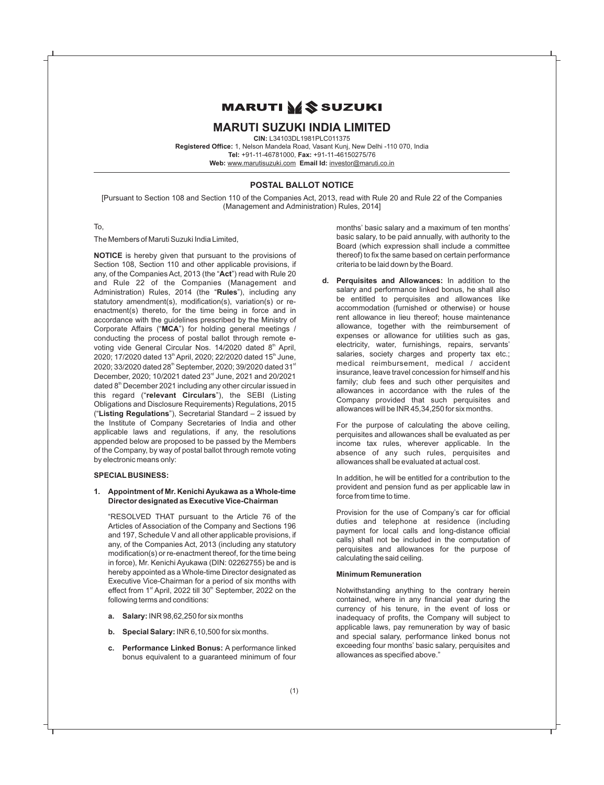# **MARUTI MS SUZUKI**

# **MARUTI SUZUKI INDIA LIMITED**

**CIN:** L34103DL1981PLC011375

**Registered Office:** 1, Nelson Mandela Road, Vasant Kunj, New Delhi -110 070, India **Tel:** +91-11-46781000, **Fax:** +91-11-46150275/76 **Web:** www.marutisuzuki.com **Email Id:** investor@maruti.co.in

# **POSTAL BALLOT NOTICE**

[Pursuant to Section 108 and Section 110 of the Companies Act, 2013, read with Rule 20 and Rule 22 of the Companies (Management and Administration) Rules, 2014]

#### To,

The Members of Maruti Suzuki India Limited,

**NOTICE** is hereby given that pursuant to the provisions of Section 108, Section 110 and other applicable provisions, if any, of the Companies Act, 2013 (the "**Act**") read with Rule 20 and Rule 22 of the Companies (Management and Administration) Rules, 2014 (the "**Rules**"), including any statutory amendment(s), modification(s), variation(s) or reenactment(s) thereto, for the time being in force and in accordance with the guidelines prescribed by the Ministry of Corporate Affairs ("**MCA**") for holding general meetings / conducting the process of postal ballot through remote evoting vide General Circular Nos. 14/2020 dated 8<sup>th</sup> April, 2020; 17/2020 dated 13<sup>th</sup> April, 2020; 22/2020 dated 15<sup>th</sup> June, 2020; 33/2020 dated 28<sup>th</sup> September, 2020; 39/2020 dated 31<sup>st</sup> December, 2020; 10/2021 dated 23<sup>rd</sup> June, 2021 and 20/2021 dated 8<sup>th</sup> December 2021 including any other circular issued in this regard ("**relevant Circulars**"), the SEBI (Listing Obligations and Disclosure Requirements) Regulations, 2015 ("**Listing Regulations**"), Secretarial Standard – 2 issued by the Institute of Company Secretaries of India and other applicable laws and regulations, if any, the resolutions appended below are proposed to be passed by the Members of the Company, by way of postal ballot through remote voting by electronic means only:

# **SPECIAL BUSINESS:**

#### **1. Appointment of Mr. Kenichi Ayukawa as a Whole-time Director designated as Executive Vice-Chairman**

"RESOLVED THAT pursuant to the Article 76 of the Articles of Association of the Company and Sections 196 and 197, Schedule V and all other applicable provisions, if any, of the Companies Act, 2013 (including any statutory modification(s) or re-enactment thereof, for the time being in force), Mr. Kenichi Ayukawa (DIN: 02262755) be and is hereby appointed as a Whole-time Director designated as Executive Vice-Chairman for a period of six months with effect from 1<sup>st</sup> April, 2022 till 30<sup>th</sup> September, 2022 on the following terms and conditions:

- **a. Salary:** INR 98,62,250 for six months
- **b. Special Salary:** INR 6,10,500 for six months.
- **c. Performance Linked Bonus:** A performance linked bonus equivalent to a guaranteed minimum of four

months' basic salary and a maximum of ten months' basic salary, to be paid annually, with authority to the Board (which expression shall include a committee thereof) to fix the same based on certain performance criteria to be laid down by the Board.

**d. Perquisites and Allowances:** In addition to the salary and performance linked bonus, he shall also be entitled to perquisites and allowances like accommodation (furnished or otherwise) or house rent allowance in lieu thereof; house maintenance allowance, together with the reimbursement of expenses or allowance for utilities such as gas, electricity, water, furnishings, repairs, servants' salaries, society charges and property tax etc.; medical reimbursement, medical / accident insurance, leave travel concession for himself and his family; club fees and such other perquisites and allowances in accordance with the rules of the Company provided that such perquisites and allowances will be INR 45,34,250 for six months.

For the purpose of calculating the above ceiling, perquisites and allowances shall be evaluated as per income tax rules, wherever applicable. In the absence of any such rules, perquisites and allowances shall be evaluated at actual cost.

In addition, he will be entitled for a contribution to the provident and pension fund as per applicable law in force from time to time.

Provision for the use of Company's car for official duties and telephone at residence (including payment for local calls and long-distance official calls) shall not be included in the computation of perquisites and allowances for the purpose of calculating the said ceiling.

#### **Minimum Remuneration**

Notwithstanding anything to the contrary herein contained, where in any financial year during the currency of his tenure, in the event of loss or inadequacy of profits, the Company will subject to applicable laws, pay remuneration by way of basic and special salary, performance linked bonus not exceeding four months' basic salary, perquisites and allowances as specified above."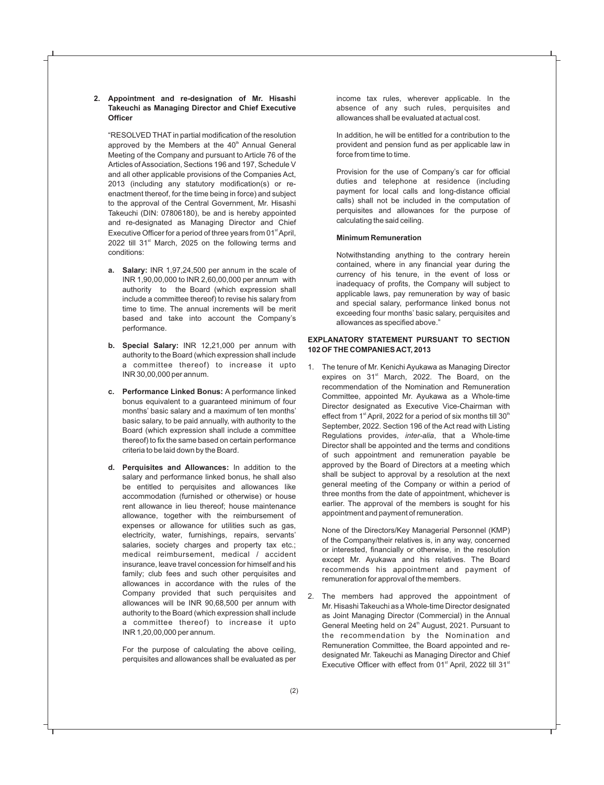#### **2. Appointment and re-designation of Mr. Hisashi Takeuchi as Managing Director and Chief Executive Officer**

"RESOLVED THAT in partial modification of the resolution approved by the Members at the  $40<sup>th</sup>$  Annual General Meeting of the Company and pursuant to Article 76 of the Articles of Association, Sections 196 and 197, Schedule V and all other applicable provisions of the Companies Act, 2013 (including any statutory modification(s) or reenactment thereof, for the time being in force) and subject to the approval of the Central Government, Mr. Hisashi Takeuchi (DIN: 07806180), be and is hereby appointed and re-designated as Managing Director and Chief Executive Officer for a period of three years from  $01<sup>st</sup>$  April, 2022 till  $31<sup>st</sup>$  March, 2025 on the following terms and conditions:

- **a. Salary:** INR 1,97,24,500 per annum in the scale of INR 1,90,00,000 to INR 2,60,00,000 per annum with authority to the Board (which expression shall include a committee thereof) to revise his salary from time to time. The annual increments will be merit based and take into account the Company's performance.
- **b. Special Salary:** INR 12,21,000 per annum with authority to the Board (which expression shall include a committee thereof) to increase it upto INR 30,00,000 per annum.
- **c. Performance Linked Bonus:** A performance linked bonus equivalent to a guaranteed minimum of four months' basic salary and a maximum of ten months' basic salary, to be paid annually, with authority to the Board (which expression shall include a committee thereof) to fix the same based on certain performance criteria to be laid down by the Board.
- **d. Perquisites and Allowances:** In addition to the salary and performance linked bonus, he shall also be entitled to perquisites and allowances like accommodation (furnished or otherwise) or house rent allowance in lieu thereof; house maintenance allowance, together with the reimbursement of expenses or allowance for utilities such as gas, electricity, water, furnishings, repairs, servants' salaries, society charges and property tax etc.; medical reimbursement, medical / accident insurance, leave travel concession for himself and his family; club fees and such other perquisites and allowances in accordance with the rules of the Company provided that such perquisites and allowances will be INR 90,68,500 per annum with authority to the Board (which expression shall include a committee thereof) to increase it upto INR 1,20,00,000 per annum.

For the purpose of calculating the above ceiling, perquisites and allowances shall be evaluated as per income tax rules, wherever applicable. In the absence of any such rules, perquisites and allowances shall be evaluated at actual cost.

In addition, he will be entitled for a contribution to the provident and pension fund as per applicable law in force from time to time.

Provision for the use of Company's car for official duties and telephone at residence (including payment for local calls and long-distance official calls) shall not be included in the computation of perquisites and allowances for the purpose of calculating the said ceiling.

#### **Minimum Remuneration**

Notwithstanding anything to the contrary herein contained, where in any financial year during the currency of his tenure, in the event of loss or inadequacy of profits, the Company will subject to applicable laws, pay remuneration by way of basic and special salary, performance linked bonus not exceeding four months' basic salary, perquisites and allowances as specified above."

# **EXPLANATORY STATEMENT PURSUANT TO SECTION 102 OF THE COMPANIES ACT, 2013**

1. The tenure of Mr. Kenichi Ayukawa as Managing Director expires on 31<sup>st</sup> March, 2022. The Board, on the recommendation of the Nomination and Remuneration Committee, appointed Mr. Ayukawa as a Whole-time Director designated as Executive Vice-Chairman with effect from 1<sup>st</sup> April, 2022 for a period of six months till 30<sup>th</sup> September, 2022. Section 196 of the Act read with Listing Regulations provides, *inter-alia*, that a Whole-time Director shall be appointed and the terms and conditions of such appointment and remuneration payable be approved by the Board of Directors at a meeting which shall be subject to approval by a resolution at the next general meeting of the Company or within a period of three months from the date of appointment, whichever is earlier. The approval of the members is sought for his appointment and payment of remuneration.

None of the Directors/Key Managerial Personnel (KMP) of the Company/their relatives is, in any way, concerned or interested, financially or otherwise, in the resolution except Mr. Ayukawa and his relatives. The Board recommends his appointment and payment of remuneration for approval of the members.

2. The members had approved the appointment of Mr. Hisashi Takeuchi as a Whole-time Director designated as Joint Managing Director (Commercial) in the Annual General Meeting held on 24<sup>th</sup> August, 2021. Pursuant to the recommendation by the Nomination and Remuneration Committee, the Board appointed and redesignated Mr. Takeuchi as Managing Director and Chief Executive Officer with effect from 01 $st$  April, 2022 till 31 $st$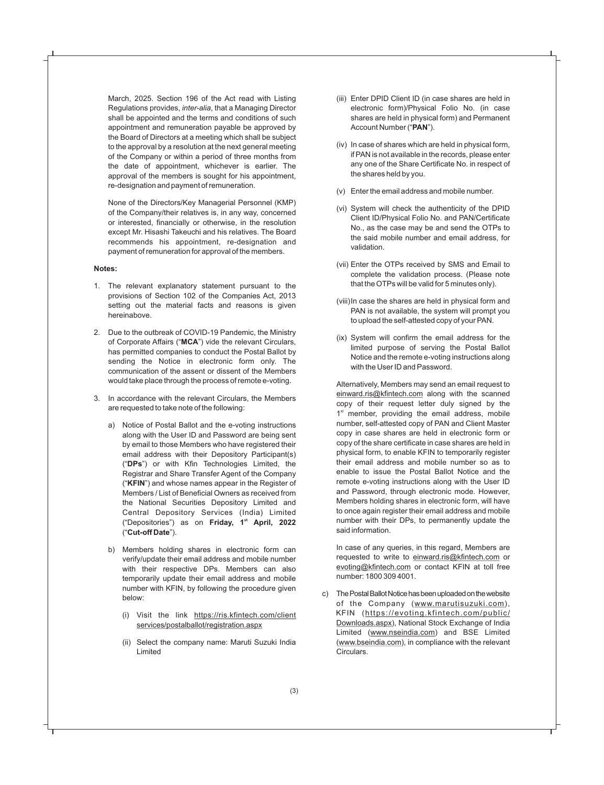March, 2025. Section 196 of the Act read with Listing Regulations provides, *inter-alia*, that a Managing Director shall be appointed and the terms and conditions of such appointment and remuneration payable be approved by the Board of Directors at a meeting which shall be subject to the approval by a resolution at the next general meeting of the Company or within a period of three months from the date of appointment, whichever is earlier. The approval of the members is sought for his appointment, re-designation and payment of remuneration.

None of the Directors/Key Managerial Personnel (KMP) of the Company/their relatives is, in any way, concerned or interested, financially or otherwise, in the resolution except Mr. Hisashi Takeuchi and his relatives. The Board recommends his appointment, re-designation and payment of remuneration for approval of the members.

#### **Notes:**

- 1. The relevant explanatory statement pursuant to the provisions of Section 102 of the Companies Act, 2013 setting out the material facts and reasons is given hereinabove.
- 2. Due to the outbreak of COVID-19 Pandemic, the Ministry of Corporate Affairs ("**MCA**") vide the relevant Circulars, has permitted companies to conduct the Postal Ballot by sending the Notice in electronic form only. The communication of the assent or dissent of the Members would take place through the process of remote e-voting.
- 3. In accordance with the relevant Circulars, the Members are requested to take note of the following:
	- a) Notice of Postal Ballot and the e-voting instructions along with the User ID and Password are being sent by email to those Members who have registered their email address with their Depository Participant(s) ("**DPs**") or with Kfin Technologies Limited, the Registrar and Share Transfer Agent of the Company ("**KFIN**") and whose names appear in the Register of Members / List of Beneficial Owners as received from the National Securities Depository Limited and Central Depository Services (India) Limited **st** ("Depositories") as on **Friday, 1 April, 2022**  ("**Cut-off Date**").
	- b) Members holding shares in electronic form can verify/update their email address and mobile number with their respective DPs. Members can also temporarily update their email address and mobile number with KFIN, by following the procedure given below:
		- (i) Visit the link https://ris.kfintech.com/client services/postalballot/registration.aspx
		- (ii) Select the company name: Maruti Suzuki India **Limited**
- (iii) Enter DPID Client ID (in case shares are held in electronic form)/Physical Folio No. (in case shares are held in physical form) and Permanent Account Number ("**PAN**").
- (iv) In case of shares which are held in physical form, if PAN is not available in the records, please enter any one of the Share Certificate No. in respect of the shares held by you.
- (v) Enter the email address and mobile number.
- (vi) System will check the authenticity of the DPID Client ID/Physical Folio No. and PAN/Certificate No., as the case may be and send the OTPs to the said mobile number and email address, for validation.
- (vii) Enter the OTPs received by SMS and Email to complete the validation process. (Please note that the OTPs will be valid for 5 minutes only).
- (viii)In case the shares are held in physical form and PAN is not available, the system will prompt you to upload the self-attested copy of your PAN.
- (ix) System will confirm the email address for the limited purpose of serving the Postal Ballot Notice and the remote e-voting instructions along with the User ID and Password.

Alternatively, Members may send an email request to einward.ris@kfintech.com along with the scanned copy of their request letter duly signed by the  $1<sup>st</sup>$  member, providing the email address, mobile number, self-attested copy of PAN and Client Master copy in case shares are held in electronic form or copy of the share certificate in case shares are held in physical form, to enable KFIN to temporarily register their email address and mobile number so as to enable to issue the Postal Ballot Notice and the remote e-voting instructions along with the User ID and Password, through electronic mode. However, Members holding shares in electronic form, will have to once again register their email address and mobile number with their DPs, to permanently update the said information.

In case of any queries, in this regard, Members are requested to write to einward.ris@kfintech.com or evoting@kfintech.com or contact KFIN at toll free number: 1800 309 4001.

c) The Postal Ballot Notice has been uploaded on the website of the Company (www.marutisuzuki.com), KFIN (https://evoting.kfintech.com/public/ Downloads.aspx), National Stock Exchange of India Limited (www.nseindia.com) and BSE Limited (www.bseindia.com), in compliance with the relevant Circulars.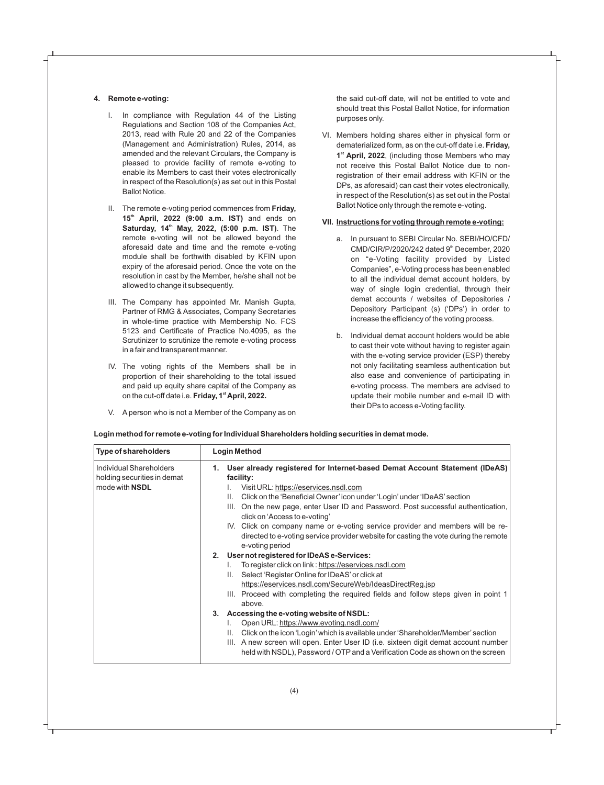# **4. Remote e-voting:**

- I. In compliance with Regulation 44 of the Listing Regulations and Section 108 of the Companies Act, 2013, read with Rule 20 and 22 of the Companies (Management and Administration) Rules, 2014, as amended and the relevant Circulars, the Company is pleased to provide facility of remote e-voting to enable its Members to cast their votes electronically in respect of the Resolution(s) as set out in this Postal Ballot Notice.
- II. The remote e-voting period commences from **Friday, th 15 April, 2022 (9:00 a.m. IST)** and ends on **th Saturday, 14 May, 2022, (5:00 p.m. IST)**. The remote e-voting will not be allowed beyond the aforesaid date and time and the remote e-voting module shall be forthwith disabled by KFIN upon expiry of the aforesaid period. Once the vote on the resolution in cast by the Member, he/she shall not be allowed to change it subsequently.
- III. The Company has appointed Mr. Manish Gupta, Partner of RMG & Associates, Company Secretaries in whole-time practice with Membership No. FCS 5123 and Certificate of Practice No.4095, as the Scrutinizer to scrutinize the remote e-voting process in a fair and transparent manner.
- IV. The voting rights of the Members shall be in proportion of their shareholding to the total issued and paid up equity share capital of the Company as on the cut-off date i.e. **Friday, 1<sup>st</sup> April, 2022.**
- V. A person who is not a Member of the Company as on

the said cut-off date, will not be entitled to vote and should treat this Postal Ballot Notice, for information purposes only.

VI. Members holding shares either in physical form or dematerialized form, as on the cut-off date i.e. **Friday,**  1<sup>st</sup> April, 2022, (including those Members who may not receive this Postal Ballot Notice due to nonregistration of their email address with KFIN or the DPs, as aforesaid) can cast their votes electronically, in respect of the Resolution(s) as set out in the Postal Ballot Notice only through the remote e-voting.

# **VII. Instructions for voting through remote e-voting:**

- a. In pursuant to SEBI Circular No. SEBI/HO/CFD/ CMD/CIR/P/2020/242 dated 9<sup>th</sup> December, 2020 on "e-Voting facility provided by Listed Companies", e-Voting process has been enabled to all the individual demat account holders, by way of single login credential, through their demat accounts / websites of Depositories / Depository Participant (s) ('DPs') in order to increase the efficiency of the voting process.
- b. Individual demat account holders would be able to cast their vote without having to register again with the e-voting service provider (ESP) thereby not only facilitating seamless authentication but also ease and convenience of participating in e-voting process. The members are advised to update their mobile number and e-mail ID with their DPs to access e-Voting facility.

| <b>Type of shareholders</b>                                                     | <b>Login Method</b>                                                                                                                                                                                                                                                                                                                                                                                                                                                                                                                                                                                                                                                                                                                                                                                                                                                                                                                                                                                                                                                                                                                                                                                                                         |  |
|---------------------------------------------------------------------------------|---------------------------------------------------------------------------------------------------------------------------------------------------------------------------------------------------------------------------------------------------------------------------------------------------------------------------------------------------------------------------------------------------------------------------------------------------------------------------------------------------------------------------------------------------------------------------------------------------------------------------------------------------------------------------------------------------------------------------------------------------------------------------------------------------------------------------------------------------------------------------------------------------------------------------------------------------------------------------------------------------------------------------------------------------------------------------------------------------------------------------------------------------------------------------------------------------------------------------------------------|--|
| Individual Shareholders<br>holding securities in demat<br>mode with <b>NSDL</b> | 1. User already registered for Internet-based Demat Account Statement (IDeAS)<br>facility:<br>Visit URL: https://eservices.nsdl.com<br>Click on the 'Beneficial Owner' icon under 'Login' under 'IDeAS' section<br>Ш.<br>On the new page, enter User ID and Password. Post successful authentication,<br>III.<br>click on 'Access to e-voting'<br>IV. Click on company name or e-voting service provider and members will be re-<br>directed to e-voting service provider website for casting the vote during the remote<br>e-voting period<br>2. User not registered for IDeAS e-Services:<br>To register click on link: https://eservices.nsdl.com<br>I.<br>Select 'Register Online for IDeAS' or click at<br>Ш.<br>https://eservices.nsdl.com/SecureWeb/IdeasDirectReg.jsp<br>III. Proceed with completing the required fields and follow steps given in point 1<br>above.<br>Accessing the e-voting website of NSDL:<br>3.<br>Open URL: https://www.evoting.nsdl.com/<br>Click on the icon 'Login' which is available under 'Shareholder/Member' section<br>Ш.<br>III. A new screen will open. Enter User ID (i.e. sixteen digit demat account number<br>held with NSDL), Password / OTP and a Verification Code as shown on the screen |  |

**Login method for remote e-voting for Individual Shareholders holding securities in demat mode.**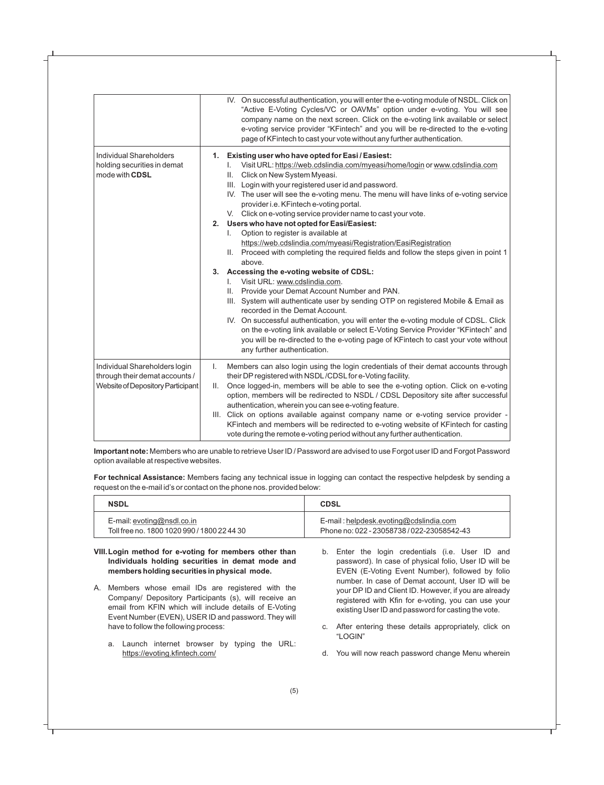|                                                                                                      |          | IV. On successful authentication, you will enter the e-voting module of NSDL. Click on<br>"Active E-Voting Cycles/VC or OAVMs" option under e-voting. You will see<br>company name on the next screen. Click on the e-voting link available or select<br>e-voting service provider "KFintech" and you will be re-directed to the e-voting<br>page of KFintech to cast your vote without any further authentication.                                                                                                                                                                                                                                                                                                                                                                                                                                                                                                                                                                                                                                                                                                                                                                                                                                                            |
|------------------------------------------------------------------------------------------------------|----------|--------------------------------------------------------------------------------------------------------------------------------------------------------------------------------------------------------------------------------------------------------------------------------------------------------------------------------------------------------------------------------------------------------------------------------------------------------------------------------------------------------------------------------------------------------------------------------------------------------------------------------------------------------------------------------------------------------------------------------------------------------------------------------------------------------------------------------------------------------------------------------------------------------------------------------------------------------------------------------------------------------------------------------------------------------------------------------------------------------------------------------------------------------------------------------------------------------------------------------------------------------------------------------|
| <b>Individual Shareholders</b><br>holding securities in demat<br>mode with CDSL                      | 2.<br>3. | 1. Existing user who have opted for Easi/Easiest:<br>Visit URL: https://web.cdslindia.com/myeasi/home/login or www.cdslindia.com<br>L.<br>II. Click on New System Myeasi.<br>III. Login with your registered user id and password.<br>IV. The user will see the e-voting menu. The menu will have links of e-voting service<br>provider i.e. KFintech e-voting portal.<br>V. Click on e-voting service provider name to cast your vote.<br>Users who have not opted for Easi/Easiest:<br>Option to register is available at<br>L.<br>https://web.cdslindia.com/myeasi/Registration/EasiRegistration<br>II. Proceed with completing the required fields and follow the steps given in point 1<br>above.<br>Accessing the e-voting website of CDSL:<br>Visit URL: www.cdslindia.com.<br>$\mathbf{L}$<br>Provide your Demat Account Number and PAN.<br>Ш.<br>III. System will authenticate user by sending OTP on registered Mobile & Email as<br>recorded in the Demat Account.<br>IV. On successful authentication, you will enter the e-voting module of CDSL. Click<br>on the e-voting link available or select E-Voting Service Provider "KFintech" and<br>you will be re-directed to the e-voting page of KFintech to cast your vote without<br>any further authentication. |
| Individual Shareholders login<br>through their demat accounts /<br>Website of Depository Participant | L.<br>Ш. | Members can also login using the login credentials of their demat accounts through<br>their DP registered with NSDL/CDSL for e-Voting facility.<br>Once logged-in, members will be able to see the e-voting option. Click on e-voting<br>option, members will be redirected to NSDL / CDSL Depository site after successful<br>authentication, wherein you can see e-voting feature.<br>III. Click on options available against company name or e-voting service provider -<br>KFintech and members will be redirected to e-voting website of KFintech for casting<br>vote during the remote e-voting period without any further authentication.                                                                                                                                                                                                                                                                                                                                                                                                                                                                                                                                                                                                                               |

**Important note:** Members who are unable to retrieve User ID / Password are advised to use Forgot user ID and Forgot Password option available at respective websites.

**For technical Assistance:** Members facing any technical issue in logging can contact the respective helpdesk by sending a request on the e-mail id's or contact on the phone nos. provided below:

| <b>NSDL</b>                                 | <b>CDSL</b>                                |
|---------------------------------------------|--------------------------------------------|
| E-mail: $evoting@nsdl.co.in$                | E-mail: helpdesk.evoting@cdslindia.com     |
| Toll free no. 1800 1020 990 / 1800 22 44 30 | Phone no: 022 - 23058738 / 022-23058542-43 |

#### **VIII.Login method for e-voting for members other than Individuals holding securities in demat mode and members holding securities in physical mode.**

- A. Members whose email IDs are registered with the Company/ Depository Participants (s), will receive an email from KFIN which will include details of E-Voting Event Number (EVEN), USER ID and password. They will have to follow the following process:
	- a. Launch internet browser by typing the URL: https://evoting.kfintech.com/
- b. Enter the login credentials (i.e. User ID and password). In case of physical folio, User ID will be EVEN (E-Voting Event Number), followed by folio number. In case of Demat account, User ID will be your DP ID and Client ID. However, if you are already registered with Kfin for e-voting, you can use your existing User ID and password for casting the vote.
- c. After entering these details appropriately, click on "LOGIN"
- d. You will now reach password change Menu wherein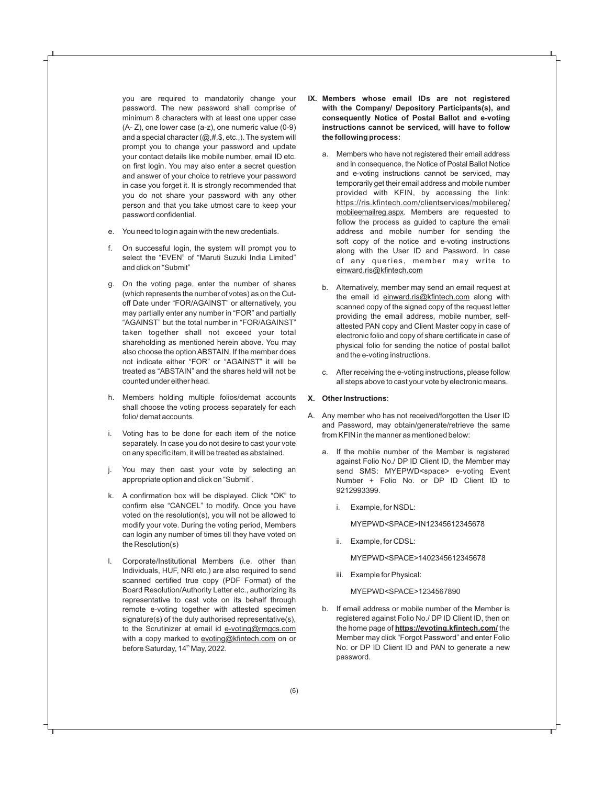you are required to mandatorily change your password. The new password shall comprise of minimum 8 characters with at least one upper case (A- Z), one lower case (a-z), one numeric value (0-9) and a special character  $(@, #, \$, etc.,)$ . The system will prompt you to change your password and update your contact details like mobile number, email ID etc. on first login. You may also enter a secret question and answer of your choice to retrieve your password in case you forget it. It is strongly recommended that you do not share your password with any other person and that you take utmost care to keep your password confidential.

- e. You need to login again with the new credentials.
- f. On successful login, the system will prompt you to select the "EVEN" of "Maruti Suzuki India Limited" and click on "Submit"
- g. On the voting page, enter the number of shares (which represents the number of votes) as on the Cutoff Date under "FOR/AGAINST" or alternatively, you may partially enter any number in "FOR" and partially "AGAINST" but the total number in "FOR/AGAINST" taken together shall not exceed your total shareholding as mentioned herein above. You may also choose the option ABSTAIN. If the member does not indicate either "FOR" or "AGAINST" it will be treated as "ABSTAIN" and the shares held will not be counted under either head.
- h. Members holding multiple folios/demat accounts shall choose the voting process separately for each folio/ demat accounts.
- i. Voting has to be done for each item of the notice separately. In case you do not desire to cast your vote on any specific item, it will be treated as abstained.
- j. You may then cast your vote by selecting an appropriate option and click on "Submit".
- k. A confirmation box will be displayed. Click "OK" to confirm else "CANCEL" to modify. Once you have voted on the resolution(s), you will not be allowed to modify your vote. During the voting period, Members can login any number of times till they have voted on the Resolution(s)
- l. Corporate/Institutional Members (i.e. other than Individuals, HUF, NRI etc.) are also required to send scanned certified true copy (PDF Format) of the Board Resolution/Authority Letter etc., authorizing its representative to cast vote on its behalf through remote e-voting together with attested specimen signature(s) of the duly authorised representative(s), to the Scrutinizer at email id e-voting@rmgcs.com with a copy marked to evoting@kfintech.com on or before Saturday, 14<sup>th</sup> May, 2022.
- **IX. Members whose email IDs are not registered with the Company/ Depository Participants(s), and consequently Notice of Postal Ballot and e-voting instructions cannot be serviced, will have to follow the following process:**
	- a. Members who have not registered their email address and in consequence, the Notice of Postal Ballot Notice and e-voting instructions cannot be serviced, may temporarily get their email address and mobile number provided with KFIN, by accessing the link: https://ris.kfintech.com/clientservices/mobilereg/ mobileemailreg.aspx. Members are requested to follow the process as guided to capture the email address and mobile number for sending the soft copy of the notice and e-voting instructions along with the User ID and Password. In case of any queries, member may write to einward.ris@kfintech.com
	- b. Alternatively, member may send an email request at the email id einward.ris@kfintech.com along with scanned copy of the signed copy of the request letter providing the email address, mobile number, selfattested PAN copy and Client Master copy in case of electronic folio and copy of share certificate in case of physical folio for sending the notice of postal ballot and the e-voting instructions.
	- c. After receiving the e-voting instructions, please follow all steps above to cast your vote by electronic means.

# **X. Other Instructions**:

- A. Any member who has not received/forgotten the User ID and Password, may obtain/generate/retrieve the same from KFIN in the manner as mentioned below:
	- a. If the mobile number of the Member is registered against Folio No./ DP ID Client ID, the Member may send SMS: MYEPWD<space> e-voting Event Number + Folio No. or DP ID Client ID to 9212993399.
		- i. Example, for NSDL:

MYEPWD<SPACE>IN12345612345678

ii. Example, for CDSL:

MYEPWD<SPACE>1402345612345678

iii. Example for Physical:

MYEPWD<SPACE>1234567890

b. If email address or mobile number of the Member is registered against Folio No./ DP ID Client ID, then on the home page of **https://evoting.kfintech.com/** the Member may click "Forgot Password" and enter Folio No. or DP ID Client ID and PAN to generate a new password.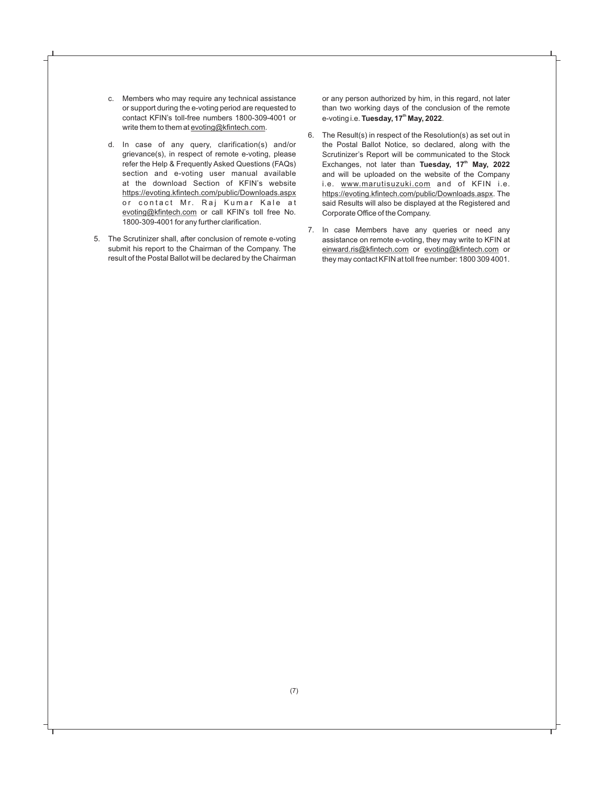- c. Members who may require any technical assistance or support during the e-voting period are requested to contact KFIN's toll-free numbers 1800-309-4001 or write them to them at evoting@kfintech.com.
- d. In case of any query, clarification(s) and/or grievance(s), in respect of remote e-voting, please refer the Help & Frequently Asked Questions (FAQs) section and e-voting user manual available at the download Section of KFIN's website https://evoting.kfintech.com/public/Downloads.aspx or contact Mr. Raj Kumar Kale at evoting@kfintech.com or call KFIN's toll free No. 1800-309-4001 for any further clarification.
- 5. The Scrutinizer shall, after conclusion of remote e-voting submit his report to the Chairman of the Company. The result of the Postal Ballot will be declared by the Chairman

or any person authorized by him, in this regard, not later than two working days of the conclusion of the remote **th** e-voting i.e. **Tuesday, 17 May, 2022**.

- 6. The Result(s) in respect of the Resolution(s) as set out in the Postal Ballot Notice, so declared, along with the Scrutinizer's Report will be communicated to the Stock Exchanges, not later than **Tuesday, 17<sup>th</sup> May, 2022** and will be uploaded on the website of the Company i.e. www.marutisuzuki.com and of KFIN i.e. https://evoting.kfintech.com/public/Downloads.aspx. The said Results will also be displayed at the Registered and Corporate Office of the Company.
- 7. In case Members have any queries or need any assistance on remote e-voting, they may write to KFIN at einward.ris@kfintech.com or evoting@kfintech.com or they may contact KFIN at toll free number: 1800 309 4001.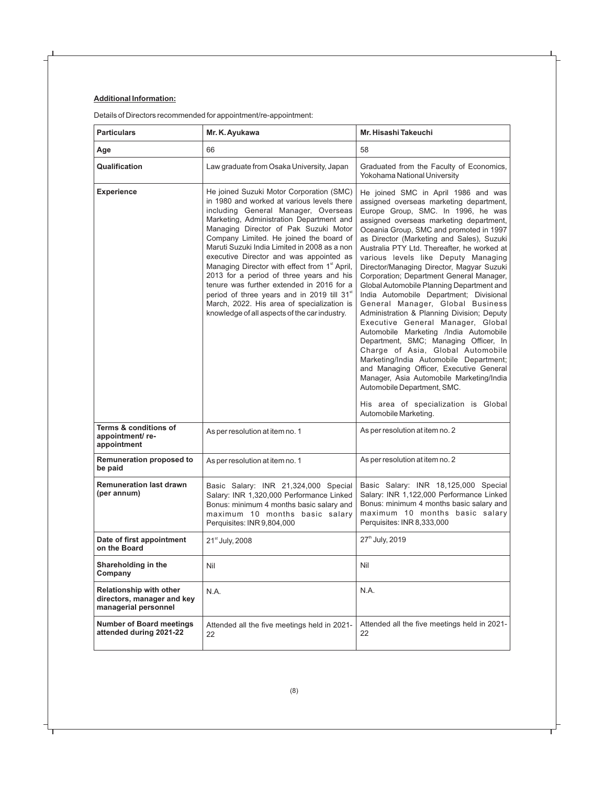# **Additional Information:**

Details of Directors recommended for appointment/re-appointment:

| <b>Particulars</b>                                                                   | Mr. K. Ayukawa                                                                                                                                                                                                                                                                                                                                                                                                                                                                                                                                                                                                                                                           | Mr. Hisashi Takeuchi                                                                                                                                                                                                                                                                                                                                                                                                                                                                                                                                                                                                                                                                                                                                                                                                                                                                                                                                                                                           |
|--------------------------------------------------------------------------------------|--------------------------------------------------------------------------------------------------------------------------------------------------------------------------------------------------------------------------------------------------------------------------------------------------------------------------------------------------------------------------------------------------------------------------------------------------------------------------------------------------------------------------------------------------------------------------------------------------------------------------------------------------------------------------|----------------------------------------------------------------------------------------------------------------------------------------------------------------------------------------------------------------------------------------------------------------------------------------------------------------------------------------------------------------------------------------------------------------------------------------------------------------------------------------------------------------------------------------------------------------------------------------------------------------------------------------------------------------------------------------------------------------------------------------------------------------------------------------------------------------------------------------------------------------------------------------------------------------------------------------------------------------------------------------------------------------|
| Age                                                                                  | 66                                                                                                                                                                                                                                                                                                                                                                                                                                                                                                                                                                                                                                                                       | 58                                                                                                                                                                                                                                                                                                                                                                                                                                                                                                                                                                                                                                                                                                                                                                                                                                                                                                                                                                                                             |
| Qualification                                                                        | Law graduate from Osaka University, Japan                                                                                                                                                                                                                                                                                                                                                                                                                                                                                                                                                                                                                                | Graduated from the Faculty of Economics,<br>Yokohama National University                                                                                                                                                                                                                                                                                                                                                                                                                                                                                                                                                                                                                                                                                                                                                                                                                                                                                                                                       |
| <b>Experience</b>                                                                    | He joined Suzuki Motor Corporation (SMC)<br>in 1980 and worked at various levels there<br>including General Manager, Overseas<br>Marketing, Administration Department and<br>Managing Director of Pak Suzuki Motor<br>Company Limited. He joined the board of<br>Maruti Suzuki India Limited in 2008 as a non<br>executive Director and was appointed as<br>Managing Director with effect from 1 <sup>st</sup> April,<br>2013 for a period of three years and his<br>tenure was further extended in 2016 for a<br>period of three years and in 2019 till 31 <sup>st</sup><br>March, 2022. His area of specialization is<br>knowledge of all aspects of the car industry. | He joined SMC in April 1986 and was<br>assigned overseas marketing department,<br>Europe Group, SMC. In 1996, he was<br>assigned overseas marketing department,<br>Oceania Group, SMC and promoted in 1997<br>as Director (Marketing and Sales), Suzuki<br>Australia PTY Ltd. Thereafter, he worked at<br>various levels like Deputy Managing<br>Director/Managing Director, Magyar Suzuki<br>Corporation; Department General Manager,<br>Global Automobile Planning Department and<br>India Automobile Department; Divisional<br>General Manager, Global Business<br>Administration & Planning Division; Deputy<br>Executive General Manager, Global<br>Automobile Marketing /India Automobile<br>Department, SMC; Managing Officer, In<br>Charge of Asia, Global Automobile<br>Marketing/India Automobile Department;<br>and Managing Officer, Executive General<br>Manager, Asia Automobile Marketing/India<br>Automobile Department, SMC.<br>His area of specialization is Global<br>Automobile Marketing. |
| Terms & conditions of<br>appointment/re-<br>appointment                              | As per resolution at item no. 1                                                                                                                                                                                                                                                                                                                                                                                                                                                                                                                                                                                                                                          | As per resolution at item no. 2                                                                                                                                                                                                                                                                                                                                                                                                                                                                                                                                                                                                                                                                                                                                                                                                                                                                                                                                                                                |
| <b>Remuneration proposed to</b><br>be paid                                           | As per resolution at item no. 1                                                                                                                                                                                                                                                                                                                                                                                                                                                                                                                                                                                                                                          | As per resolution at item no. 2                                                                                                                                                                                                                                                                                                                                                                                                                                                                                                                                                                                                                                                                                                                                                                                                                                                                                                                                                                                |
| <b>Remuneration last drawn</b><br>(per annum)                                        | Basic Salary: INR 21,324,000 Special<br>Salary: INR 1,320,000 Performance Linked<br>Bonus: minimum 4 months basic salary and<br>maximum 10 months basic salary<br>Perquisites: INR 9,804,000                                                                                                                                                                                                                                                                                                                                                                                                                                                                             | Basic Salary: INR 18,125,000 Special<br>Salary: INR 1,122,000 Performance Linked<br>Bonus: minimum 4 months basic salary and<br>maximum 10 months basic salary<br>Perquisites: INR 8,333,000                                                                                                                                                                                                                                                                                                                                                                                                                                                                                                                                                                                                                                                                                                                                                                                                                   |
| Date of first appointment<br>on the Board                                            | 21 <sup>st</sup> July, 2008                                                                                                                                                                                                                                                                                                                                                                                                                                                                                                                                                                                                                                              | 27 <sup>th</sup> July, 2019                                                                                                                                                                                                                                                                                                                                                                                                                                                                                                                                                                                                                                                                                                                                                                                                                                                                                                                                                                                    |
| Shareholding in the<br>Company                                                       | Nil<br>Nil                                                                                                                                                                                                                                                                                                                                                                                                                                                                                                                                                                                                                                                               |                                                                                                                                                                                                                                                                                                                                                                                                                                                                                                                                                                                                                                                                                                                                                                                                                                                                                                                                                                                                                |
| <b>Relationship with other</b><br>directors, manager and key<br>managerial personnel | N.A.                                                                                                                                                                                                                                                                                                                                                                                                                                                                                                                                                                                                                                                                     | N.A.                                                                                                                                                                                                                                                                                                                                                                                                                                                                                                                                                                                                                                                                                                                                                                                                                                                                                                                                                                                                           |
| <b>Number of Board meetings</b><br>attended during 2021-22                           | Attended all the five meetings held in 2021-<br>22                                                                                                                                                                                                                                                                                                                                                                                                                                                                                                                                                                                                                       | Attended all the five meetings held in 2021-<br>22                                                                                                                                                                                                                                                                                                                                                                                                                                                                                                                                                                                                                                                                                                                                                                                                                                                                                                                                                             |